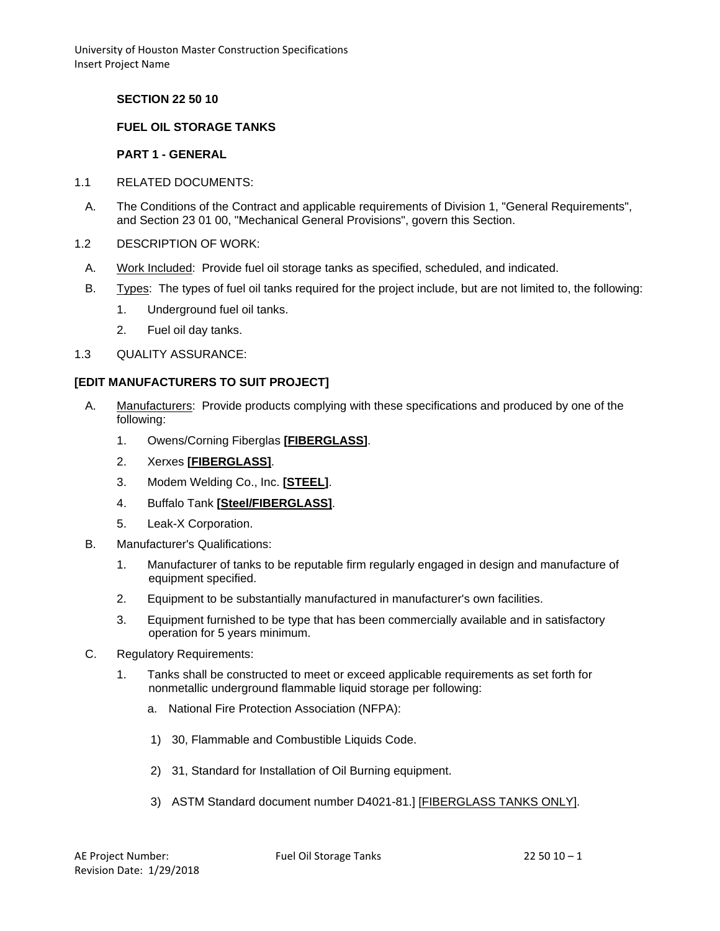**SECTION 22 50 10**

### **FUEL OIL STORAGE TANKS**

#### **PART 1 - GENERAL**

- 1.1 RELATED DOCUMENTS:
	- A. The Conditions of the Contract and applicable requirements of Division 1, "General Requirements", and Section 23 01 00, "Mechanical General Provisions", govern this Section.
- 1.2 DESCRIPTION OF WORK:
- A. Work Included: Provide fuel oil storage tanks as specified, scheduled, and indicated.
- B. Types: The types of fuel oil tanks required for the project include, but are not limited to, the following:
	- 1. Underground fuel oil tanks.
	- 2. Fuel oil day tanks.
- 1.3 QUALITY ASSURANCE:

#### **[EDIT MANUFACTURERS TO SUIT PROJECT]**

- A. Manufacturers: Provide products complying with these specifications and produced by one of the following:
	- 1. Owens/Corning Fiberglas **[FIBERGLASS]**.
	- 2. Xerxes **[FIBERGLASS]**.
	- 3. Modem Welding Co., Inc. **[STEEL]**.
	- 4. Buffalo Tank **[Steel/FIBERGLASS]**.
	- 5. Leak-X Corporation.
- B. Manufacturer's Qualifications:
	- 1. Manufacturer of tanks to be reputable firm regularly engaged in design and manufacture of equipment specified.
	- 2. Equipment to be substantially manufactured in manufacturer's own facilities.
	- 3. Equipment furnished to be type that has been commercially available and in satisfactory operation for 5 years minimum.
- C. Regulatory Requirements:
	- 1. Tanks shall be constructed to meet or exceed applicable requirements as set forth for nonmetallic underground flammable liquid storage per following:
		- a. National Fire Protection Association (NFPA):
		- 1) 30, Flammable and Combustible Liquids Code.
		- 2) 31, Standard for Installation of Oil Burning equipment.
		- 3) ASTM Standard document number D4021-81.] [FIBERGLASS TANKS ONLY].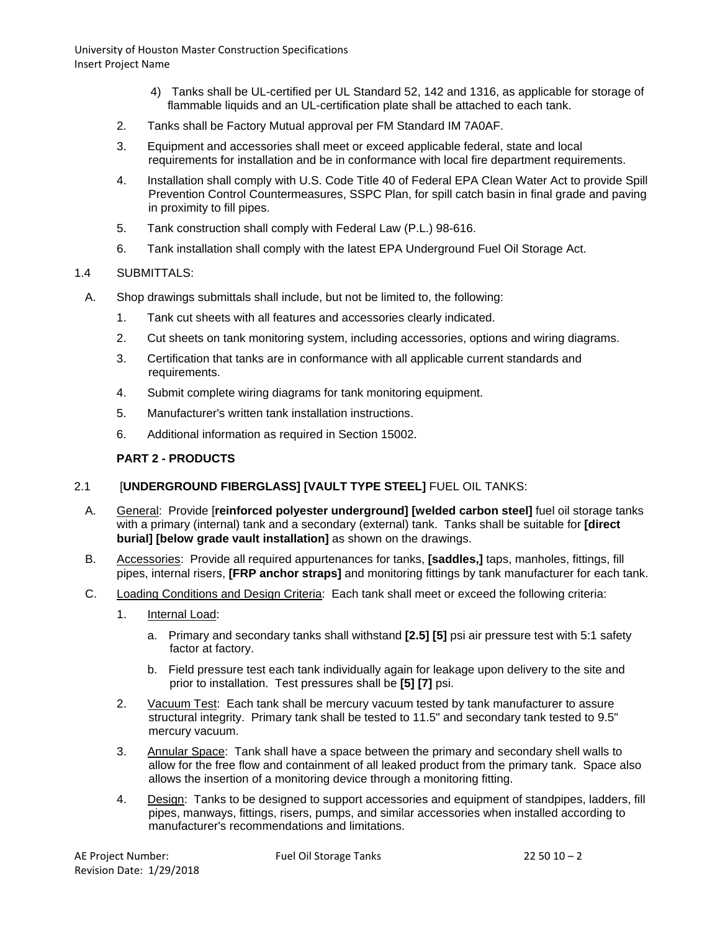- 4) Tanks shall be UL-certified per UL Standard 52, 142 and 1316, as applicable for storage of flammable liquids and an UL-certification plate shall be attached to each tank.
- 2. Tanks shall be Factory Mutual approval per FM Standard IM 7A0AF.
- 3. Equipment and accessories shall meet or exceed applicable federal, state and local requirements for installation and be in conformance with local fire department requirements.
- 4. Installation shall comply with U.S. Code Title 40 of Federal EPA Clean Water Act to provide Spill Prevention Control Countermeasures, SSPC Plan, for spill catch basin in final grade and paving in proximity to fill pipes.
- 5. Tank construction shall comply with Federal Law (P.L.) 98-616.
- 6. Tank installation shall comply with the latest EPA Underground Fuel Oil Storage Act.

### 1.4 SUBMITTALS:

- A. Shop drawings submittals shall include, but not be limited to, the following:
	- 1. Tank cut sheets with all features and accessories clearly indicated.
	- 2. Cut sheets on tank monitoring system, including accessories, options and wiring diagrams.
	- 3. Certification that tanks are in conformance with all applicable current standards and requirements.
	- 4. Submit complete wiring diagrams for tank monitoring equipment.
	- 5. Manufacturer's written tank installation instructions.
	- 6. Additional information as required in Section 15002.

### **PART 2 - PRODUCTS**

# 2.1 [**UNDERGROUND FIBERGLASS] [VAULT TYPE STEEL]** FUEL OIL TANKS:

- A. General: Provide [**reinforced polyester underground] [welded carbon steel]** fuel oil storage tanks with a primary (internal) tank and a secondary (external) tank. Tanks shall be suitable for **[direct burial] [below grade vault installation]** as shown on the drawings.
- B. Accessories: Provide all required appurtenances for tanks, **[saddles,]** taps, manholes, fittings, fill pipes, internal risers, **[FRP anchor straps]** and monitoring fittings by tank manufacturer for each tank.
- C. Loading Conditions and Design Criteria: Each tank shall meet or exceed the following criteria:
	- 1. Internal Load:
		- a. Primary and secondary tanks shall withstand **[2.5] [5]** psi air pressure test with 5:1 safety factor at factory.
		- b. Field pressure test each tank individually again for leakage upon delivery to the site and prior to installation. Test pressures shall be **[5] [7]** psi.
	- 2. Vacuum Test: Each tank shall be mercury vacuum tested by tank manufacturer to assure structural integrity. Primary tank shall be tested to 11.5" and secondary tank tested to 9.5" mercury vacuum.
	- 3. Annular Space: Tank shall have a space between the primary and secondary shell walls to allow for the free flow and containment of all leaked product from the primary tank. Space also allows the insertion of a monitoring device through a monitoring fitting.
	- 4. Design: Tanks to be designed to support accessories and equipment of standpipes, ladders, fill pipes, manways, fittings, risers, pumps, and similar accessories when installed according to manufacturer's recommendations and limitations.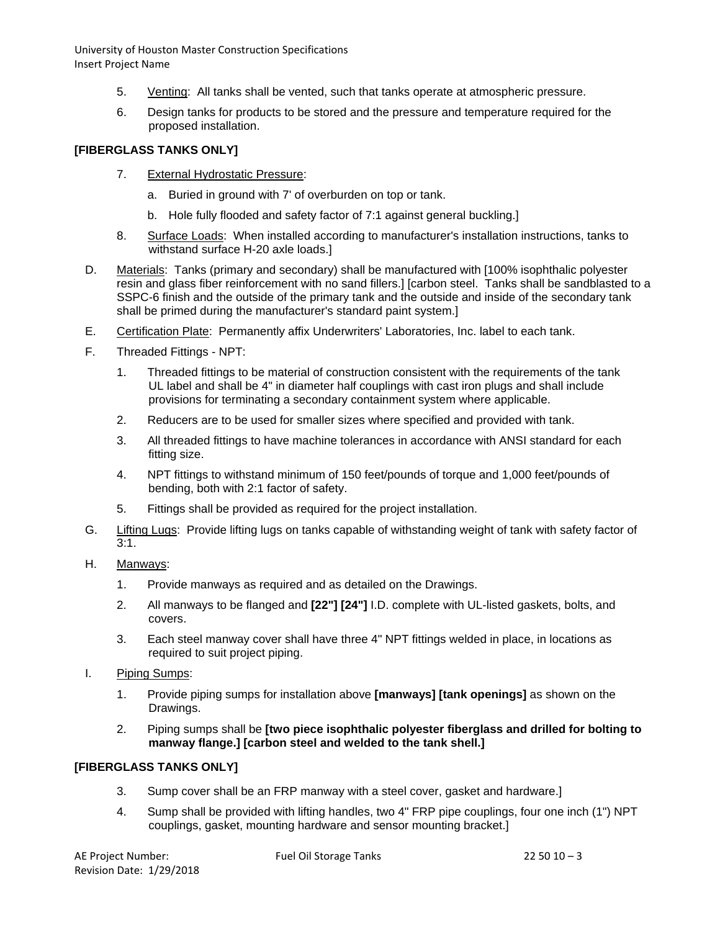- 5. Venting: All tanks shall be vented, such that tanks operate at atmospheric pressure.
- 6. Design tanks for products to be stored and the pressure and temperature required for the proposed installation.

# **[FIBERGLASS TANKS ONLY]**

- 7. External Hydrostatic Pressure:
	- a. Buried in ground with 7' of overburden on top or tank.
	- b. Hole fully flooded and safety factor of 7:1 against general buckling.]
- 8. Surface Loads: When installed according to manufacturer's installation instructions, tanks to withstand surface H-20 axle loads.]
- D. Materials: Tanks (primary and secondary) shall be manufactured with [100% isophthalic polyester resin and glass fiber reinforcement with no sand fillers.] [carbon steel. Tanks shall be sandblasted to a SSPC-6 finish and the outside of the primary tank and the outside and inside of the secondary tank shall be primed during the manufacturer's standard paint system.]
- E. Certification Plate: Permanently affix Underwriters' Laboratories, Inc. label to each tank.
- F. Threaded Fittings NPT:
	- 1. Threaded fittings to be material of construction consistent with the requirements of the tank UL label and shall be 4" in diameter half couplings with cast iron plugs and shall include provisions for terminating a secondary containment system where applicable.
	- 2. Reducers are to be used for smaller sizes where specified and provided with tank.
	- 3. All threaded fittings to have machine tolerances in accordance with ANSI standard for each fitting size.
	- 4. NPT fittings to withstand minimum of 150 feet/pounds of torque and 1,000 feet/pounds of bending, both with 2:1 factor of safety.
	- 5. Fittings shall be provided as required for the project installation.
- G. Lifting Lugs: Provide lifting lugs on tanks capable of withstanding weight of tank with safety factor of  $3:1.$
- H. Manways:
	- 1. Provide manways as required and as detailed on the Drawings.
	- 2. All manways to be flanged and **[22"] [24"]** I.D. complete with UL-listed gaskets, bolts, and covers.
	- 3. Each steel manway cover shall have three 4" NPT fittings welded in place, in locations as required to suit project piping.
- I. Piping Sumps:
	- 1. Provide piping sumps for installation above **[manways] [tank openings]** as shown on the Drawings.
	- 2. Piping sumps shall be **[two piece isophthalic polyester fiberglass and drilled for bolting to manway flange.] [carbon steel and welded to the tank shell.]**

# **[FIBERGLASS TANKS ONLY]**

- 3. Sump cover shall be an FRP manway with a steel cover, gasket and hardware.]
- 4. Sump shall be provided with lifting handles, two 4" FRP pipe couplings, four one inch (1") NPT couplings, gasket, mounting hardware and sensor mounting bracket.]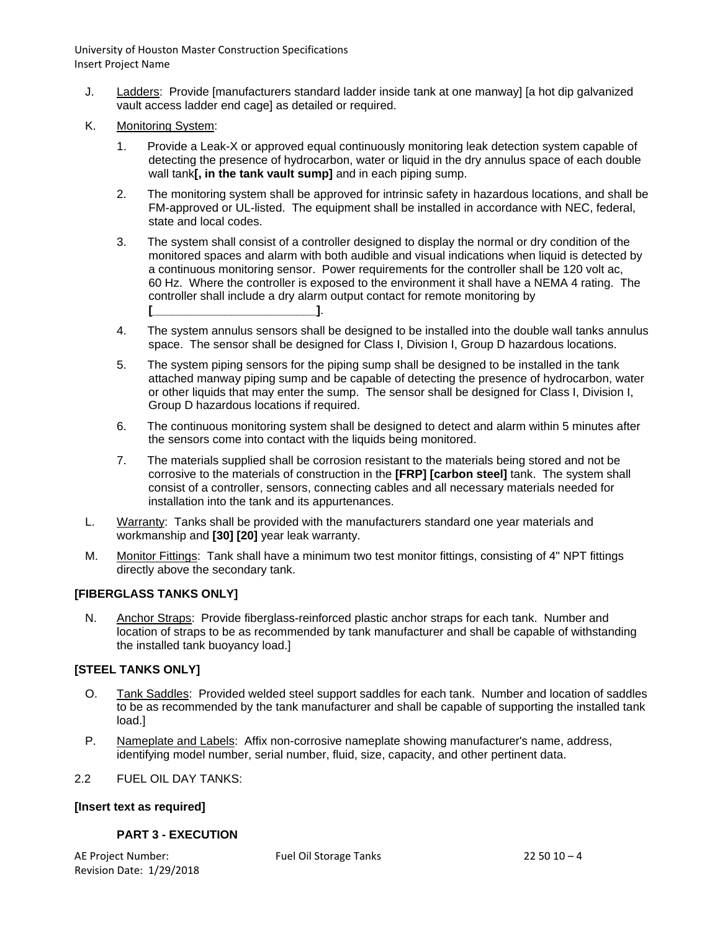- J. Ladders: Provide [manufacturers standard ladder inside tank at one manway] [a hot dip galvanized vault access ladder end cage] as detailed or required.
- K. Monitoring System:
	- 1. Provide a Leak-X or approved equal continuously monitoring leak detection system capable of detecting the presence of hydrocarbon, water or liquid in the dry annulus space of each double wall tank**[, in the tank vault sump]** and in each piping sump.
	- 2. The monitoring system shall be approved for intrinsic safety in hazardous locations, and shall be FM-approved or UL-listed. The equipment shall be installed in accordance with NEC, federal, state and local codes.
	- 3. The system shall consist of a controller designed to display the normal or dry condition of the monitored spaces and alarm with both audible and visual indications when liquid is detected by a continuous monitoring sensor. Power requirements for the controller shall be 120 volt ac, 60 Hz. Where the controller is exposed to the environment it shall have a NEMA 4 rating. The controller shall include a dry alarm output contact for remote monitoring by **[\_\_\_\_\_\_\_\_\_\_\_\_\_\_\_\_\_\_\_\_\_\_\_\_\_]**.
	- 4. The system annulus sensors shall be designed to be installed into the double wall tanks annulus space. The sensor shall be designed for Class I, Division I, Group D hazardous locations.
	- 5. The system piping sensors for the piping sump shall be designed to be installed in the tank attached manway piping sump and be capable of detecting the presence of hydrocarbon, water or other liquids that may enter the sump. The sensor shall be designed for Class I, Division I, Group D hazardous locations if required.
	- 6. The continuous monitoring system shall be designed to detect and alarm within 5 minutes after the sensors come into contact with the liquids being monitored.
	- 7. The materials supplied shall be corrosion resistant to the materials being stored and not be corrosive to the materials of construction in the **[FRP] [carbon steel]** tank. The system shall consist of a controller, sensors, connecting cables and all necessary materials needed for installation into the tank and its appurtenances.
- L. Warranty: Tanks shall be provided with the manufacturers standard one year materials and workmanship and **[30] [20]** year leak warranty.
- M. Monitor Fittings: Tank shall have a minimum two test monitor fittings, consisting of 4" NPT fittings directly above the secondary tank.

#### **[FIBERGLASS TANKS ONLY]**

N. Anchor Straps: Provide fiberglass-reinforced plastic anchor straps for each tank. Number and location of straps to be as recommended by tank manufacturer and shall be capable of withstanding the installed tank buoyancy load.]

#### **[STEEL TANKS ONLY]**

- O. Tank Saddles: Provided welded steel support saddles for each tank. Number and location of saddles to be as recommended by the tank manufacturer and shall be capable of supporting the installed tank load.]
- P. Nameplate and Labels: Affix non-corrosive nameplate showing manufacturer's name, address, identifying model number, serial number, fluid, size, capacity, and other pertinent data.

#### 2.2 FUEL OIL DAY TANKS:

#### **[Insert text as required]**

#### **PART 3 - EXECUTION**

AE Project Number: The Project Number: Fuel Oil Storage Tanks 22 50 10 – 4 Revision Date: 1/29/2018